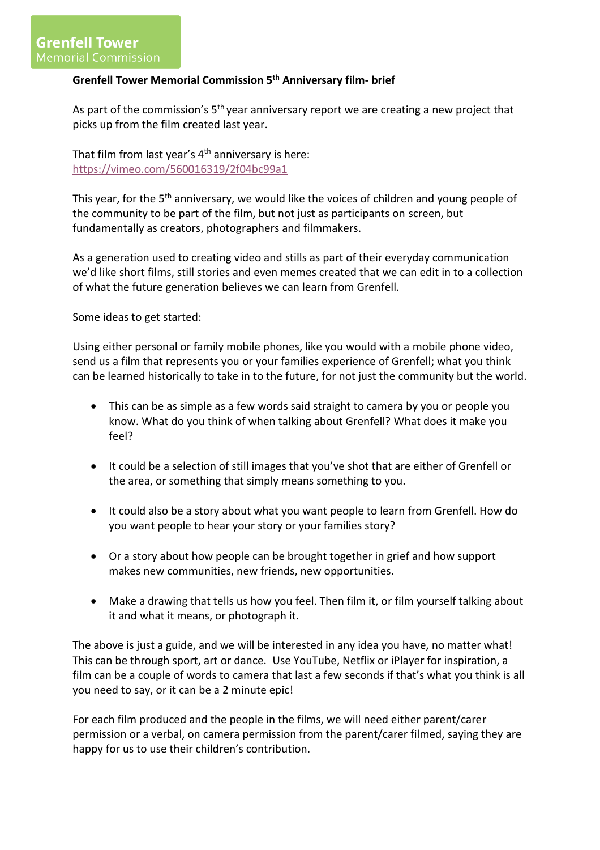## **Grenfell Tower Memorial Commission 5th Anniversary film- brief**

As part of the commission's  $5<sup>th</sup>$  year anniversary report we are creating a new project that picks up from the film created last year.

That film from last year's  $4<sup>th</sup>$  anniversary is here: <https://vimeo.com/560016319/2f04bc99a1>

This year, for the 5<sup>th</sup> anniversary, we would like the voices of children and young people of the community to be part of the film, but not just as participants on screen, but fundamentally as creators, photographers and filmmakers.

As a generation used to creating video and stills as part of their everyday communication we'd like short films, still stories and even memes created that we can edit in to a collection of what the future generation believes we can learn from Grenfell.

Some ideas to get started:

Using either personal or family mobile phones, like you would with a mobile phone video, send us a film that represents you or your families experience of Grenfell; what you think can be learned historically to take in to the future, for not just the community but the world.

- This can be as simple as a few words said straight to camera by you or people you know. What do you think of when talking about Grenfell? What does it make you feel?
- It could be a selection of still images that you've shot that are either of Grenfell or the area, or something that simply means something to you.
- It could also be a story about what you want people to learn from Grenfell. How do you want people to hear your story or your families story?
- Or a story about how people can be brought together in grief and how support makes new communities, new friends, new opportunities.
- Make a drawing that tells us how you feel. Then film it, or film yourself talking about it and what it means, or photograph it.

The above is just a guide, and we will be interested in any idea you have, no matter what! This can be through sport, art or dance. Use YouTube, Netflix or iPlayer for inspiration, a film can be a couple of words to camera that last a few seconds if that's what you think is all you need to say, or it can be a 2 minute epic!

For each film produced and the people in the films, we will need either parent/carer permission or a verbal, on camera permission from the parent/carer filmed, saying they are happy for us to use their children's contribution.